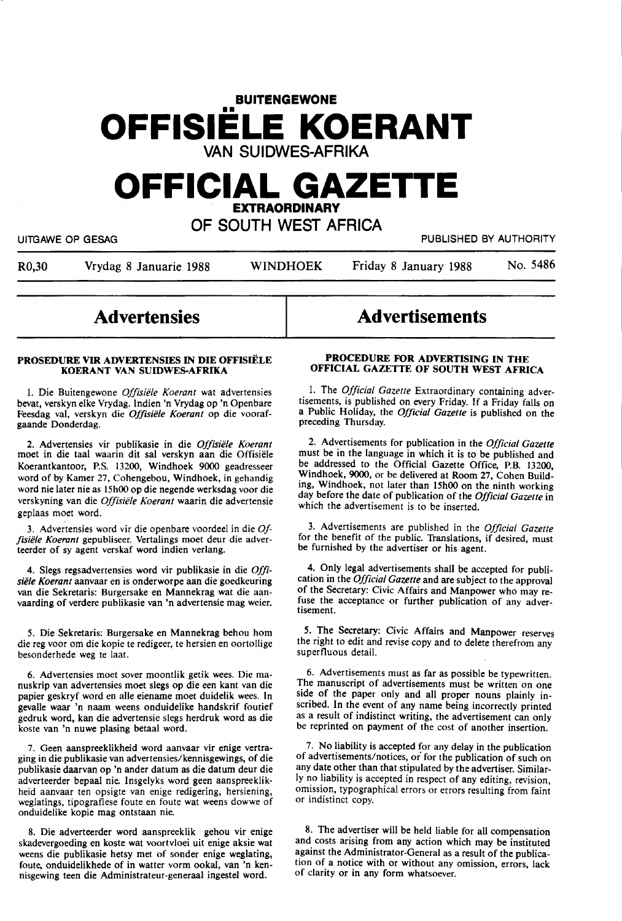# **BUITENGEWONE OFFISIELE KOERANT**  VAN SUIDWES-AFRIKA

# **OFFICIAL GAZETTE EXTRAORDINARY**

# OF SOUTH WEST AFRICA

UITGAWE OP GESAG PUBLISHED BY AUTHORITY

R0,30 Vrydag 8 Januarie 1988 WINDHOEK Friday 8 January 1988 No. 5486

# **Advertensies**

### **PROSEDURE VIR ADVERTENSIF.S** IN **DIE OFFISftLE KOERANT VAN SUIDWES-AFRIKA**

1. Die Buitengewone Offisiële Koerant wat advertensies bevat, verskyn elke Vrydag. lndien 'n Vrydag op 'n Openbare Feesdag val, verskyn die Offisiële Koerant op die voorafgaande Donderdag.

2. Advertensies vir publikasie in die *Offisiele Koerant*  moet in die taal waarin dit sal verskyn aan die Offisiele Koerantkantoor, P.S. 13200, Windhoek 9000 geadresseer word of by Kamer 27, Cohengebou, Windhoek, in gehandig word nie later nie as 15h00 op die negende werksdag voor die verskyning van die *Offisiele Koerant* waarin die advertensie geplaas moet word.

3. Advertensies word vir die openbare voordeel in die *0/ f,siele Koerant* gepubliseer. Vertalings moet deur die adverteerder of sy agent verskaf word indien verlang.

4. Slegs regsadvertensies word vir publikasie in die *Offisiele Koerant* aanvaar en is onderworpe aan die goedkeuring van die Sekretaris: Burgersake en Mannekrag wat die aanvaarding of verdere publikasie van 'n advertensie mag weier.

*5.* Die Sekretaris: Burgersake en Mannekrag behou horn die reg voor om die kopie te redigeer, te hersien en oortollige besonderhede weg te laat.

6. Advertensies moet sover moontlik getik wees. Die manuskrip van advertensies moet slegs op die een kant van die papier geskryf word en alle eiename moet duidelik wees. In gevalle waar 'n naam weens onduidelike handskrif foutief gedruk word, kan die advertensie slegs herdruk word as die koste van 'n nuwe plasing betaal word.

7. Geen aanspreeklikheid word aanvaar vir enige vertraging in die publikasie van advertensies/kennisgewings, of die publikasie daarvan op 'n ander datum as die datum deur die adverteerder bepaal nie. lnsgelyks word geen aanspreeklikheid aanvaar ten opsigte van enige redigering, hersiening, weglatings, tipografiese foute en foute wat weens dowwe of onduidelike kopie mag ontstaan nie.

8. Die adverteerder word aanspreeklik gehou vir enige skadevergoeding en koste wat voortvloei uit enige aksie wat weens die publikasie hetsy met of sonder enige weglating, foute, onduidelikhede of in watter vorm ookal, van 'n kennisgewing teen die Administrateur-generaal ingestel word.

# Advertisements

## **PROCEDURE FOR ADVERTISING IN THE OFFICIAL GAZETTE OF SOUTH WEST AFRICA**

1. The *Official Gazette* Extraordinary containing advertisements, is published on every Friday. If a Friday falls on a Public Holiday, the *Official Gazette* is published on the preceding Thursday.

2. Advertisements for publication in the *Official Gazette*  must be in the language in which it is to be published and be addressed to the Official Gazette Office, P.B. 13200, Windhoek, **9000,** or be delivered at Room 27, Cohen Building, Windhoek, not later than 15h00 on the ninth working day before the date of publication of the *Official Gazette* in which the advertisement is to be inserted.

3. Advertisements are published in the *Official Gazette*  for the benefit of the public. Translations, if desired, must be furnished by the advertiser or his agent.

4. Only legal advertisements shall be accepted for publication in the *Official Gazette* and are subject to the approval of the Secretary: Civic Affairs and Manpower who may refuse the acceptance or further publication of any advertisement.

5. The Secretary: Civic Affairs and Manpower reserves the right to edit and revise copy and to delete therefrom any superfluous detail.

6. Advertisements must as far as possible be typewritten. The manuscript of advertisements must be written on one side of the paper only and all proper nouns plainly inscribed. In the event of any name being incorrectly printed as a result of indistinct writing, the advertisement can only be reprinted on payment of the cost of another insertion.

7. No liability is accepted for any delay in the publication of advertisements/notices, or for the publication of such on any date other than that stipulated by the advertiser. Similarly no liability is accepted in respect of any editing, revision, omission, typographical errors or errors resulting from faint or indistinct copy.

8. The advertiser will be held liable for all compensation and costs arising from any action which may be instituted against the Administrator-General as a result of the publication of a notice with or without any omission, errors, lack of clarity or in any form whatsoever.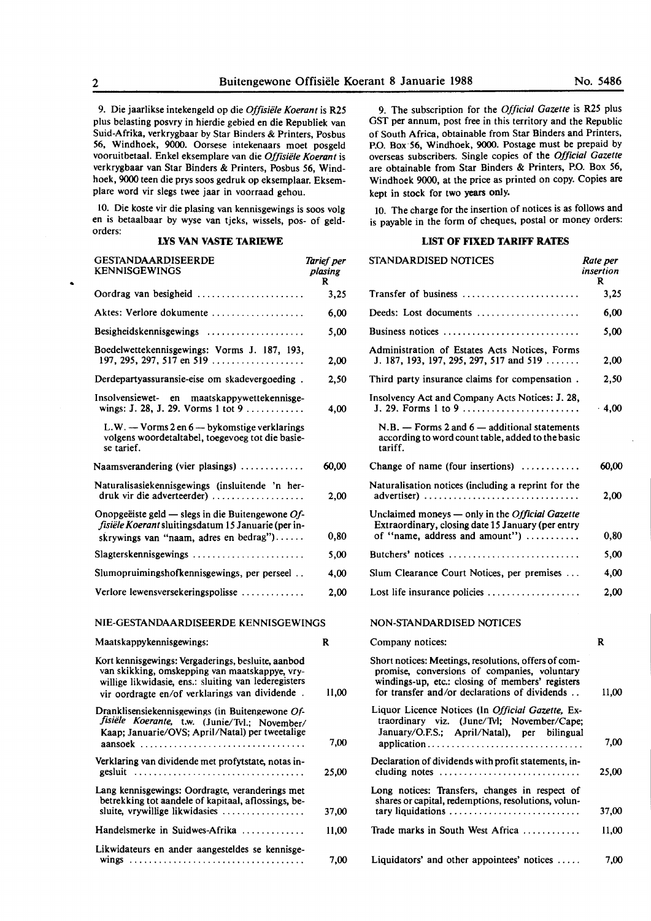9. Die jaarlikse intekengeld op die *Offisiiile Koerant* is R25 plus belasting posvry in hierdie gebied en die Republiek van Suid-Afrika, verkrygbaar by Star Binders & Printers, Posbus 56, Windhoek, 9000. Oorsese intekenaars moet posgeld vooruitbetaal. Enkel eksemplare van die *Offisiele Koerant* is verkrygbaar van Star Binders & Printers, Posbus 56, Windhoek, 9000 teen die prys soos gedruk op eksemplaar. Eksemplare word vir slegs twee jaar in voorraad gehou.

IO. Die koste vir die plasing van kennisgewings is soos volg en is betaalbaar by wyse van tjeks, wissels, pos- of geldorders:

# **LYS VAN VASTE TARIEWE**

| <b>GESTANDAARDISEERDE</b><br><b>KENNISGEWINGS</b>                                                                                                                                                              | Tarief per<br>plasing<br>R |
|----------------------------------------------------------------------------------------------------------------------------------------------------------------------------------------------------------------|----------------------------|
| Oordrag van besigheid                                                                                                                                                                                          | 3,25                       |
| Aktes: Verlore dokumente                                                                                                                                                                                       | 6,00                       |
| Besigheidskennisgewings                                                                                                                                                                                        | 5,00                       |
| Boedelwettekennisgewings: Vorms J. 187, 193,<br>197, 295, 297, 517 en 519                                                                                                                                      | 2,00                       |
| Derdepartyassuransie-eise om skadevergoeding.                                                                                                                                                                  | 2,50                       |
| Insolvensiewet- en maatskappywettekennisge-<br>wings: J. 28, J. 29. Vorms 1 tot 9                                                                                                                              | 4,00                       |
| L.W. - Vorms 2 en 6 - bykomstige verklarings<br>volgens woordetaltabel, toegevoeg tot die basie-<br>se tarief.                                                                                                 |                            |
| Naamsverandering (vier plasings) $\ldots$                                                                                                                                                                      | 60,00                      |
| Naturalisasiekennisgewings (insluitende 'n her-<br>druk vir die adverteerder)                                                                                                                                  | 2,00                       |
| Onopgeëiste geld — slegs in die Buitengewone Of-<br>fisiële Koerant sluitingsdatum 15 Januarie (per in-<br>skrywings van "naam, adres en bedrag")                                                              | 0,80                       |
| Slagterskennisgewings                                                                                                                                                                                          | 5,00                       |
| Slumopruimingshofkennisgewings, per perseel                                                                                                                                                                    | 4,00                       |
| Verlore lewensversekeringspolisse                                                                                                                                                                              | 2.00                       |
| NIE-GESTANDAARDISEERDE KENNISGEWINGS                                                                                                                                                                           |                            |
| Maatskappykennisgewings:                                                                                                                                                                                       | R                          |
| Kort kennisgewings: Vergaderings, besluite, aanbod<br>van skikking, omskepping van maatskappye, vry-<br>willige likwidasie, ens.: sluiting van lederegisters<br>vir oordragte en/of verklarings van dividende. | 11,00                      |
| Dranklisensiekennisgewings (in Buitengewone Of-<br>fisiële Koerante, t.w. (Junie/Tvl.; November/<br>Kaap; Januarie/OVS; April/Natal) per tweetalige                                                            | 7,00                       |
| Verklaring van dividende met profytstate, notas in-                                                                                                                                                            |                            |
|                                                                                                                                                                                                                | 25,00                      |
| Lang kennisgewings: Oordragte, veranderings met<br>betrekking tot aandele of kapitaal, aflossings, be-<br>sluite, vrywillige likwidasies                                                                       | 37.00                      |
| Handelsmerke in Suidwes-Afrika                                                                                                                                                                                 | 11,00                      |
| Likwidateurs en ander aangesteldes se kennisge-                                                                                                                                                                |                            |

9. The subscription for the *Official Gazette* is R25 plus OST per annum, post free in this territory and the Republic of South Africa, obtainable from Star Binders and Printers, P.O. Box·56, Windhoek, 9000. Postage must be prepaid by overseas subscribers. Single copies of the *Official Gazette*  are obtainable from Star Binders & Printers, P.O. Box 56, Windhoek 9000, at the price as printed on copy. Copies are kept in stock for two years only.

10. The charge for the insertion of notices is as follows and is payable in the form of cheques, postal or money orders:

# **LIST OF FIXED TARIFF RATES**

| GESTANDAARDISEERDE<br><b>ENNISGEWINGS</b>                                                                                                                                                                      | Tarief per<br>plasing<br>R | STANDARDISED NOTICES                                                                                                                                                                                      | Rate per<br>insertion<br>R |
|----------------------------------------------------------------------------------------------------------------------------------------------------------------------------------------------------------------|----------------------------|-----------------------------------------------------------------------------------------------------------------------------------------------------------------------------------------------------------|----------------------------|
| $D$ ordrag van besigheid $\ldots$                                                                                                                                                                              | 3,25                       | Transfer of business                                                                                                                                                                                      | 3,25                       |
| ktes: Verlore dokumente                                                                                                                                                                                        | 6,00                       | Deeds: Lost documents                                                                                                                                                                                     | 6,00                       |
| Besigheidskennisgewings                                                                                                                                                                                        | 5,00                       | Business notices                                                                                                                                                                                          | 5,00                       |
| loedelwettekennisgewings: Vorms J. 187, 193,<br>197, 295, 297, 517 en 519                                                                                                                                      | 2,00                       | Administration of Estates Acts Notices, Forms<br>J. 187, 193, 197, 295, 297, 517 and 519                                                                                                                  | 2,00                       |
| Oerdepartyassuransie-eise om skadevergoeding.                                                                                                                                                                  | 2,50                       | Third party insurance claims for compensation.                                                                                                                                                            | 2,50                       |
| nsolvensiewet- en maatskappywettekennisge-                                                                                                                                                                     | 4,00                       | Insolvency Act and Company Acts Notices: J. 28,<br>J. 29. Forms 1 to 9                                                                                                                                    | .4,00                      |
| $L.W.$ — Vorms 2 en 6 — by komstige verklarings<br>volgens woordetaltabel, toegevoeg tot die basie-<br>se tarief.                                                                                              |                            | $N.B. -$ Forms 2 and $6 -$ additional statements<br>according to word count table, added to the basic<br>tariff.                                                                                          |                            |
| Iaamsverandering (vier plasings)                                                                                                                                                                               | 60,00                      | Change of name (four insertions) $\dots\dots\dots\dots$                                                                                                                                                   | 60,00                      |
| Naturalisasiekennisgewings (insluitende 'n her-<br>druk vir die adverteerder)                                                                                                                                  | 2,00                       | Naturalisation notices (including a reprint for the<br>advertiser)                                                                                                                                        | 2,00                       |
| Onopgeëiste geld — slegs in die Buitengewone $Of$ -<br>fisiële Koerant sluitingsdatum 15 Januarie (per in-<br>skrywings van "naam, adres en bedrag")                                                           | 0,80                       | Unclaimed moneys — only in the <i>Official Gazette</i><br>Extraordinary, closing date 15 January (per entry<br>of "name, address and amount")                                                             | 0,80                       |
| lagterskennisgewings                                                                                                                                                                                           | 5,00                       | Butchers' notices                                                                                                                                                                                         | 5,00                       |
| Slumopruimingshofkennisgewings, per perseel                                                                                                                                                                    | 4,00                       | Slum Clearance Court Notices, per premises                                                                                                                                                                | 4,00                       |
| erlore lewensversekeringspolisse                                                                                                                                                                               | 2,00                       | Lost life insurance policies                                                                                                                                                                              | 2,00                       |
| NIE-GESTANDAARDISEERDE KENNISGEWINGS                                                                                                                                                                           |                            | NON-STANDARDISED NOTICES                                                                                                                                                                                  |                            |
| Aaatskappykennisgewings:                                                                                                                                                                                       | R                          | Company notices:                                                                                                                                                                                          | $\mathbf{R}$               |
| Cort kennisgewings: Vergaderings, besluite, aanbod<br>van skikking, omskepping van maatskappye, vry-<br>willige likwidasie, ens.: sluiting van lederegisters<br>vir oordragte en/of verklarings van dividende. | 11,00                      | Short notices: Meetings, resolutions, offers of com-<br>promise, conversions of companies, voluntary<br>windings-up, etc.: closing of members' registers<br>for transfer and/or declarations of dividends | 11,00                      |
| Oranklisensiekennisgewings (in Buitengewone Of-<br>fisiële Koerante, t.w. (Junie/Tvl.; November/<br>Kaap; Januarie/OVS; April/Natal) per tweetalige                                                            | 7,00                       | Liquor Licence Notices (In <i>Official Gazette</i> , Ex-<br>traordinary viz. (June/Tvl; November/Cape;<br>January/O.F.S.; April/Natal), per bilingual                                                     | 7,00                       |
| /erklaring van dividende met profytstate, notas in-                                                                                                                                                            | 25,00                      | Declaration of dividends with profit statements, in-<br>cluding notes                                                                                                                                     | 25,00                      |
| ang kennisgewings: Oordragte, veranderings met<br>betrekking tot aandele of kapitaal, aflossings, be-<br>sluite, vrywillige likwidasies                                                                        | 37,00                      | Long notices: Transfers, changes in respect of<br>shares or capital, redemptions, resolutions, volun-<br>tary liquidations                                                                                | 37,00                      |
| Iandelsmerke in Suidwes-Afrika                                                                                                                                                                                 | 11,00                      | Trade marks in South West Africa                                                                                                                                                                          | 11,00                      |
| likwidateurs en ander aangesteldes se kennisge-                                                                                                                                                                | 7,00                       | Liquidators' and other appointees' notices                                                                                                                                                                | 7,00                       |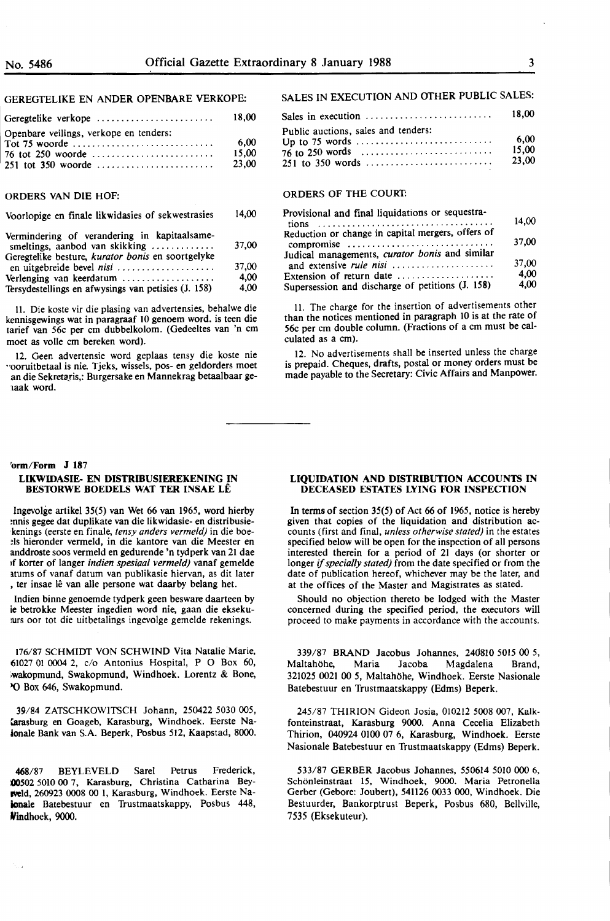## GEREGTELIKE EN ANDER OPENBARE VERKOPE:

| Geregtelike verkope                                     | 18.00                  |
|---------------------------------------------------------|------------------------|
| Openbare veilings, verkope en tenders:<br>Tot 75 woorde | 6.00<br>15.00<br>23.00 |

## ORDERS VAN DIE HOF:

| Voorlopige en finale likwidasies of sekwestrasies | 14.00 |
|---------------------------------------------------|-------|
| Vermindering of verandering in kanitaalcame.      |       |

| vermingering or verangering in Kaphaaisanic-        |       |
|-----------------------------------------------------|-------|
| smeltings, aanbod van skikking                      | 37.00 |
| Geregtelike besture, kurator bonis en soortgelyke   |       |
|                                                     | 37.00 |
| Verlenging van keerdatum $\ldots$                   | 4.00  |
| Tersydestellings en afwysings van petisies (J. 158) | 4.00  |
|                                                     |       |

ll. Die koste vir die plasing van advertensies, behalwe die kennisgewings wat in paragraaf IO genoem word. is teen die tarief van 56c per cm dubbelkolom. (Gedeeltes van. 'n cm moet as voile cm bereken word).

12. Geen advertensie word geplaas tensy die koste nie "Ooruitbetaal is nie. Tjeks, wissels, pos- en geldorders moet an die Sekretaris,: Burgersake en Mannekrag betaalbaar ge-1aak word.

### **'orm/Form J 187**

### **LIKWIDASIE- EN DISTRIBUSIEREKENING IN BESTORWE BOEDELS WAT TER INSAE LÊ**

Ingevolge artikel 35(5) van Wet 66 van 1965, word hierby mnis gegee dat duplikate van die likwidasie- en distribusie- :kenings (eerste en finale, *tensy anders vermeld)* in die boe- :ls hieronder vermeld, in die kantore van die Meester en anddroste soos vermeld en gedurende 'n tydperk van 21 dae 1f korter of )anger *indien spesiaal vermeld)* vanaf gemelde atums of vanaf datum van publikasie hiervan, as dit later , ter insae lê van alle persone wat daarby belang het.

lndien binne genoemde tydperk geen besware daarteen by ie betrokke Meester ingedien word nie, gaan die eksekuars oor tot die uitbetalings ingevolge gemelde rekenings.

176/87 SCHMIDT VON SCHWIND Vita Natalie Marie, 61027 01 0004 2, c/o Antonius Hospital, P O Box 60, iwakopmund, Swakopmund, Windhoek. Lorentz & Bone, YO Box 646, Swakopmund.

**39/84** ZATSCHKOWITSCH Johann, 250422 5030 005, farasburg en Goageb, Karasburg, Windhoek. Eerste Naionale Bank van S.A. Beperk, Posbus 512, Kaapstad, 8000.

468/87 BEYLEVELD Sare) Petrus Frederick, IOOS02 50IO 00 7, Karasburg, Christina Catharina Bey**wveld,** 260923 0008 00 I, Karasburg, Windhoek. Eerste Nakmale Batebestuur en 'Irustmaatskappy, Posbus 448, Windhoek, 9000.

# SALES IN EXECUTION AND OTHER PUBLIC SALES:

|                                     | 18.00                  |
|-------------------------------------|------------------------|
| Public auctions, sales and tenders: | 6.00<br>15.00<br>23.00 |

### ORDERS OF THE COURT.

| Provisional and final liquidations or sequestra-                          | 14.00 |
|---------------------------------------------------------------------------|-------|
|                                                                           |       |
| Reduction or change in capital mergers, offers of<br>compromise           | 37,00 |
| Judical managements, curator bonis and similar<br>and extensive rule nisi | 37.00 |
| Extension of return date                                                  | 4.00  |
| Supersession and discharge of petitions (J. 158)                          | 4,00  |

11. The charge for the insertion of advertisements other than the notices mentioned in paragraph IO is at the rate of 56c per cm double column. (Fractions of a cm must be calculated as a cm).

12. No advertisements shall be inserted unless the charge is prepaid. Cheques, drafts, postal or money orders must be made payable to the Secretary: Civic Affairs and Manpower.

### **LIQUIDATION AND DISTRIBUTION ACCOUNTS IN DECEASED ESTATES LYING FOR INSPECTION**

In terms of section 35(5) of Act 66 of 1965, notice is hereby given that copies of the liquidation and distribution accounts (first and final, *unless otherwise stated)* in the estates specified below will be open for the inspection of all persons interested therein for a period of 21 days (or shorter or longer if *specially stated)* from the date specified or from the date of publication hereof, whichever may be the later, and at the offices of the Master and Magistrates as stated.

Should no objection thereto be lodged with the Master concerned during the specified period, the executors will proceed to make payments in accordance with the accounts.

339/87 **BRAND** Jacobus Johannes, 240810 5015 00 *5,*  MaltahOhe, **Maria** Jacoba Magdalena Brand, 321025 0021 00 5, Maltahöhe, Windhoek. Eerste Nasionale Batebestuur en Trustmaatskappy (Edms) Beperk.

245/87 THIRION Gideon Josia, 010212 5008 007, Kalkfonteinstraat, Karasburg 9000. Anna Cecelia Elizabeth Thirion, 040924 0100 07 6, Karasburg, Windhoek. Eerste Nasionale Batebestuur en Trustmaatskappy (Edms) Beperk.

533/87 GERBER Jacobus Johannes, 550614 5010 000 6, Schönleinstraat 15, Windhoek, 9000. Maria Petronella Gerber (Gebore: Joubert), 54ll26 0033 000, Windhoek. Die Bestuurder, Bankorptrust Beperk, Posbus 680, Bellville, 7535 (Eksekuteur).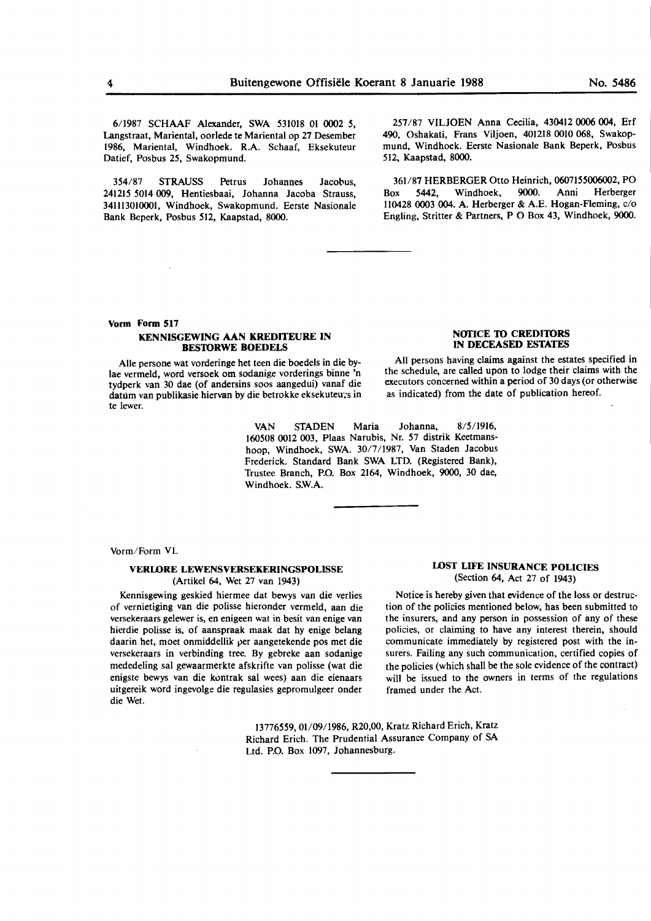6/1987 SCHAAF Alexander, SWA 531018 01 0002 *5,*  Langstraat, Mariental, oorlede te Mariental op 27 Desember 1986, Mariental, Windhoek. R.A. Schaaf, Eksekuteur Datief, Posbus 25, Swakopmund.

354/87 STRAUSS Petrus Johannes Jacobus, 241215 5014 009, Hentiesbaai, Johanna Jacoba Strauss, 341113010001, Windhoek, Swakopmund. Eerste Nasionale Bank Beperk, Posbus 512, Kaapstad, 8000.

257/87 VILJOEN Anna Cecilia, 430412 0006 004, Erf 490, Oshakati, Frans Viljoen, 401218 0010 068, Swakopmund, Windhoek. Eerste Nasionale Bank Beperk, Posbus 512, Kaapstad, 8000.

361/87 HERBERGER Otto Heinrich, 0607155006002, PO Box 5442, Windhoek, 9000. Anni Herberger 110428 0003 004. A. Herberger & A.E. Hogan-Fleming, c/o Engling, Stritter & Partners, P O Box 43, Windhoek, **9000.** 

# **Vorm Form 517 KENNISGEWING AAN KREDITEURE IN BES10RWE BOEDELS**

Alie persone wat vorderinge het teen die boedels in die bylae vermeld, word versoek om sodanige vorderings binne 'n tydperk van 30 dae (of andersins soos aangedui) vanaf die datum van publikasie hiervan by die betrokke eksekuteurs in te !ewer.

> VAN STADEN Maria Johanna, 8/5/1916, 160508 0012 003, Plaas Narubis, Nr. 57 distrik Keetmanshoop, Windhoek, **SWA.** 30/7/1987, Van Staden Jacobus Frederick. Standard **Bank SWA** LTD. (Registered **Bank),**  Trustee Branch, P.O. Box 2164, Windhoek, 9000, 30 dae, Windhoek. S.W.A.

# **NOTICE TO CREDITORS IN DECEASED ESTATES**

All persons having claims against the estates specified in the schedule, are called upon to lodge their claims with the executors concerned within a period of 30 days (or otherwise as indicated) from the date of publication hereof.

Vorm/Form VL

## **VERLORE LEWENSVERSEKERINGSPOLISSE** (Artikel 64, Wet 27 van 1943)

Kennisgewing geskied hiermee dat bewys van die verlies of vernietiging van die polisse hieronder vermeld, aan die versekeraars gelewer is, en enigeen wat in besit van enige van hierdie polisse is, of aanspraak maak dat hy enige belang daarin het, moet onmiddellik per aangetekende pos met die versekeraars in verbinding tree. By gebreke aan sodanige mededeling sal gewaarmerkte afskrifte van polisse (wat die enigste bewys van die kontrak sal wees) aan die eienaars uitgereik word ingevolge die regulasies gepromulgeer onder die Wet.

# **LOST LIFE INSURANCE POLICIES** (Section **64,** Act 27 of 1943)

Notice is hereby given that evidence of the loss or destruction of the policies mentioned below, has been submitted to the insurers, and any person in possession of any of these policies, or claiming to have any interest therein, should communicate immediately by registered post with the insurers. Failing any such communication, certified copies of the policies (which shall be the sole evidence of the contract) will be issued to the owners in terms of the regulations framed under the Act.

13776559, 01/09/1986, R20,00, Kratz Richard Erich, Kratz Richard Erich. The Prudential Assurance Company of **SA**  Ltd. P.O. Box 1097, Johannesburg.